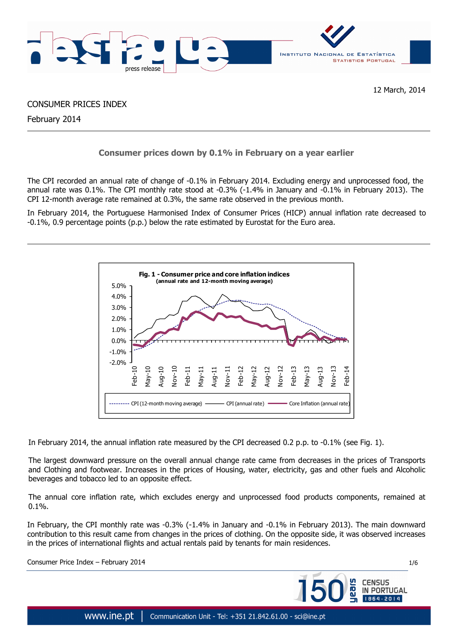

CONSUMER PRICES INDEX

February 2014

# **Consumer prices down by 0.1% in February on a year earlier**

The CPI recorded an annual rate of change of -0.1% in February 2014. Excluding energy and unprocessed food, the annual rate was 0.1%. The CPI monthly rate stood at -0.3% (-1.4% in January and -0.1% in February 2013). The CPI 12-month average rate remained at 0.3%, the same rate observed in the previous month.

In February 2014, the Portuguese Harmonised Index of Consumer Prices (HICP) annual inflation rate decreased to -0.1%, 0.9 percentage points (p.p.) below the rate estimated by Eurostat for the Euro area.



In February 2014, the annual inflation rate measured by the CPI decreased 0.2 p.p. to -0.1% (see Fig. 1).

The largest downward pressure on the overall annual change rate came from decreases in the prices of Transports and Clothing and footwear. Increases in the prices of Housing, water, electricity, gas and other fuels and Alcoholic beverages and tobacco led to an opposite effect.

The annual core inflation rate, which excludes energy and unprocessed food products components, remained at 0.1%.

In February, the CPI monthly rate was -0.3% (-1.4% in January and -0.1% in February 2013). The main downward contribution to this result came from changes in the prices of clothing. On the opposite side, it was observed increases in the prices of international flights and actual rentals paid by tenants for main residences.

Consumer Price Index – February 2014 1/6

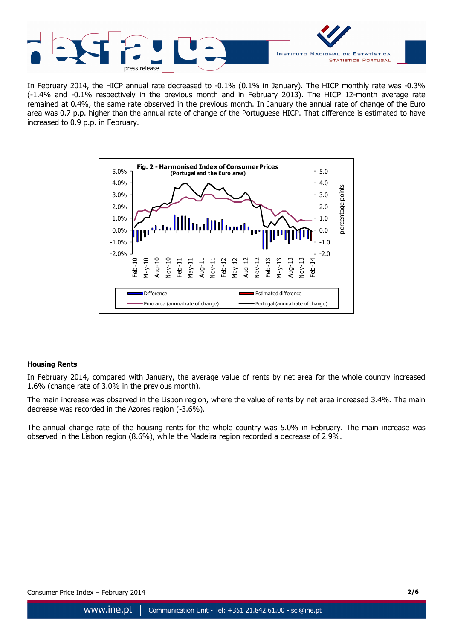

In February 2014, the HICP annual rate decreased to -0.1% (0.1% in January). The HICP monthly rate was -0.3% (-1.4% and -0.1% respectively in the previous month and in February 2013). The HICP 12-month average rate remained at 0.4%, the same rate observed in the previous month. In January the annual rate of change of the Euro area was 0.7 p.p. higher than the annual rate of change of the Portuguese HICP. That difference is estimated to have increased to 0.9 p.p. in February.



# **Housing Rents**

In February 2014, compared with January, the average value of rents by net area for the whole country increased 1.6% (change rate of 3.0% in the previous month).

The main increase was observed in the Lisbon region, where the value of rents by net area increased 3.4%. The main decrease was recorded in the Azores region (-3.6%).

The annual change rate of the housing rents for the whole country was 5.0% in February. The main increase was observed in the Lisbon region (8.6%), while the Madeira region recorded a decrease of 2.9%.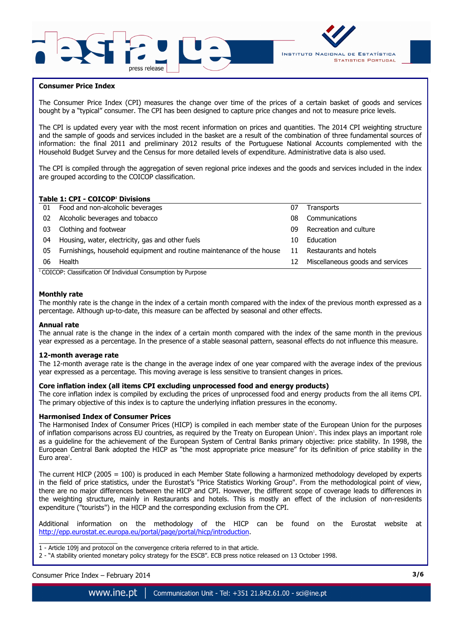



### **Consumer Price Index**

The Consumer Price Index (CPI) measures the change over time of the prices of a certain basket of goods and services bought by a "typical" consumer. The CPI has been designed to capture price changes and not to measure price levels.

The CPI is updated every year with the most recent information on prices and quantities. The 2014 CPI weighting structure and the sample of goods and services included in the basket are a result of the combination of three fundamental sources of information: the final 2011 and preliminary 2012 results of the Portuguese National Accounts complemented with the Household Budget Survey and the Census for more detailed levels of expenditure. Administrative data is also used.

The CPI is compiled through the aggregation of seven regional price indexes and the goods and services included in the index are grouped according to the COICOP classification.

### **Table 1: CPI - COICOP<sup>1</sup> Divisions**

| 01 | Food and non-alcoholic beverages                                      | 07 | <b>Transports</b>                |
|----|-----------------------------------------------------------------------|----|----------------------------------|
| 02 | Alcoholic beverages and tobacco                                       | 08 | Communications                   |
| 03 | Clothing and footwear                                                 | 09 | Recreation and culture           |
| 04 | Housing, water, electricity, gas and other fuels                      | 10 | Education                        |
| 05 | Furnishings, household equipment and routine maintenance of the house | 11 | Restaurants and hotels           |
| 06 | Health                                                                | 12 | Miscellaneous goods and services |
|    | $\cdots$<br>$\cdots$<br>$\sim$                                        |    |                                  |

<sup>1</sup> COICOP: Classification Of Individual Consumption by Purpose

### **Monthly rate**

The monthly rate is the change in the index of a certain month compared with the index of the previous month expressed as a percentage. Although up-to-date, this measure can be affected by seasonal and other effects.

#### **Annual rate**

The annual rate is the change in the index of a certain month compared with the index of the same month in the previous year expressed as a percentage. In the presence of a stable seasonal pattern, seasonal effects do not influence this measure.

#### **12-month average rate**

The 12-month average rate is the change in the average index of one year compared with the average index of the previous year expressed as a percentage. This moving average is less sensitive to transient changes in prices.

#### **Core inflation index (all items CPI excluding unprocessed food and energy products)**

The core inflation index is compiled by excluding the prices of unprocessed food and energy products from the all items CPI. The primary objective of this index is to capture the underlying inflation pressures in the economy.

#### **Harmonised Index of Consumer Prices**

The Harmonised Index of Consumer Prices (HICP) is compiled in each member state of the European Union for the purposes of inflation comparisons across EU countries, as required by the Treaty on European Union'. This index plays an important role as a guideline for the achievement of the European System of Central Banks primary objective: price stability. In 1998, the European Central Bank adopted the HICP as "the most appropriate price measure" for its definition of price stability in the Euro area<sup>2</sup>.

The current HICP (2005 = 100) is produced in each Member State following a harmonized methodology developed by experts in the field of price statistics, under the Eurostat's "Price Statistics Working Group". From the methodological point of view, there are no major differences between the HICP and CPI. However, the different scope of coverage leads to differences in the weighting structure, mainly in Restaurants and hotels. This is mostly an effect of the inclusion of non-residents expenditure ("tourists") in the HICP and the corresponding exclusion from the CPI.

Additional information on the methodology of the HICP can be found on the Eurostat website at http://epp.eurostat.ec.europa.eu/portal/page/portal/hicp/introduction.

 $\overline{\phantom{a}}$  , and the set of the set of the set of the set of the set of the set of the set of the set of the set of the set of the set of the set of the set of the set of the set of the set of the set of the set of the s 1 - Article 109j and protocol on the convergence criteria referred to in that article.

2 - "A stability oriented monetary policy strategy for the ESCB". ECB press notice released on 13 October 1998.

## Consumer Price Index – February 2014 **3/6**

www.ine.pt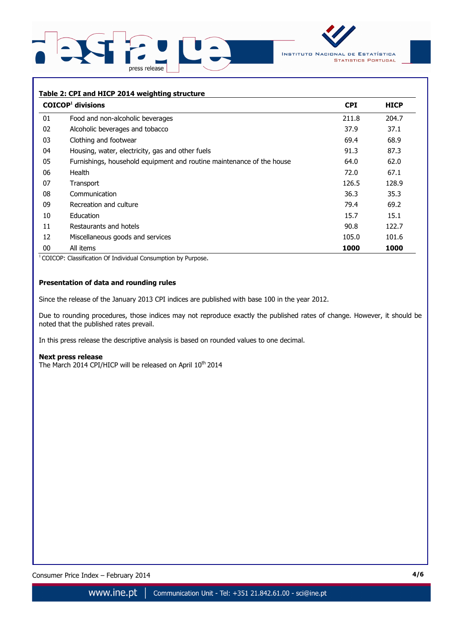



### **Table 2: CPI and HICP 2014 weighting structure**

|    | $COICOP1$ divisions                                                   | <b>CPI</b> | <b>HICP</b> |
|----|-----------------------------------------------------------------------|------------|-------------|
| 01 | Food and non-alcoholic beverages                                      | 211.8      | 204.7       |
| 02 | Alcoholic beverages and tobacco                                       | 37.9       | 37.1        |
| 03 | Clothing and footwear                                                 | 69.4       | 68.9        |
| 04 | Housing, water, electricity, gas and other fuels                      | 91.3       | 87.3        |
| 05 | Furnishings, household equipment and routine maintenance of the house | 64.0       | 62.0        |
| 06 | <b>Health</b>                                                         | 72.0       | 67.1        |
| 07 | Transport                                                             | 126.5      | 128.9       |
| 08 | Communication                                                         | 36.3       | 35.3        |
| 09 | Recreation and culture                                                | 79.4       | 69.2        |
| 10 | Education                                                             | 15.7       | 15.1        |
| 11 | Restaurants and hotels                                                | 90.8       | 122.7       |
| 12 | Miscellaneous goods and services                                      | 105.0      | 101.6       |
| 00 | All items                                                             | 1000       | 1000        |

<sup>1</sup> COICOP: Classification Of Individual Consumption by Purpose.

# **Presentation of data and rounding rules**

Since the release of the January 2013 CPI indices are published with base 100 in the year 2012.

Due to rounding procedures, those indices may not reproduce exactly the published rates of change. However, it should be noted that the published rates prevail.

In this press release the descriptive analysis is based on rounded values to one decimal.

#### **Next press release**

The March 2014 CPI/HICP will be released on April 10<sup>th</sup> 2014

Consumer Price Index – February 2014 **4/6**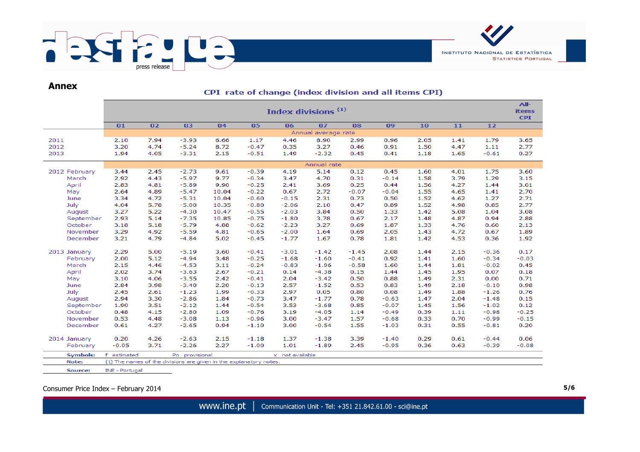

# **Annex**

# CPI rate of change (index division and all items CPI)

|                   | Index divisions <sup>(1)</sup><br><b>items</b><br><b>CPI</b> |              |                    |              |                    |              |                    |              |              |              |              |              |              |  |  |  |  |
|-------------------|--------------------------------------------------------------|--------------|--------------------|--------------|--------------------|--------------|--------------------|--------------|--------------|--------------|--------------|--------------|--------------|--|--|--|--|
|                   | 01                                                           | 02           | 03                 | 04           | 05                 | 06           | 07                 | 08           | 09           | 10           | 11           | 12           |              |  |  |  |  |
|                   | Annual average rate                                          |              |                    |              |                    |              |                    |              |              |              |              |              |              |  |  |  |  |
| 2011              | 2.10                                                         | 7.94         | $-3.93$            | 6.66         | 1.17               | 4.46         | 8.90               | 2.99         | 0.96         | 2.05         | 1.41         | 1.79         | 3.65         |  |  |  |  |
| 2012              | 3.20                                                         | 4.74         | $-5.24$            | 8.72         | $-0.47$            | 0.35         | 3.27               | 0.46         | 0.91         | 1.50         | 4.47         | 1.11         | 2.77         |  |  |  |  |
| 2013              | 1.94                                                         | 4.05         | $-3.31$            | 2.15         | $-0.51$            | 1.49         | $-2.32$            | 0.45         | 0.41         | 1.18         | 1.65         | $-0.61$      | 0.27         |  |  |  |  |
|                   |                                                              |              |                    |              | Annual rate        |              |                    |              |              |              |              |              |              |  |  |  |  |
| 2012 February     | 3.44                                                         | 2.45         | $-2.73$            | 9.61         | $-0.39$            | 4.19         | 5.14               | 0.12         | 0.45         | 1.60         | 4.01         | 1.75         | 3.60         |  |  |  |  |
| March             | 2.92                                                         | 4.43         | $-5.97$            | 9.77         | $-0.34$            | 3.47         | 4.70               | 0.31         | $-0.14$      | 1.58         | 3.79         | 1.29         | 3.15         |  |  |  |  |
| April             | 2.83                                                         | 4.81         | $-5.89$            | 9.90         | $-0.25$            | 2.41         | 3.69               | 0.25         | 0.44         | 1.56         | 4.27         | 1.44         | 3.01         |  |  |  |  |
| May               | 2.64                                                         | 4.89         | $-5.47$            | 10.04        | $-0.22$            | 0.67         | 2.72               | $-0.07$      | $-0.04$      | 1.55         | 4.65         | 1.41         | 2.70         |  |  |  |  |
| June              | 3.34                                                         | 4.72         | $-5.31$            | 10.04        | $-0.60$            | $-0.15$      | 2.31               | 0.73         | 0.50         | 1.52         | 4.62         | 1.27         | 2.71         |  |  |  |  |
| July              | 4.04                                                         | 5.78         | $-5.00$            | 10.35        | $-0.80$            | $-2.06$      | 2.10               | 0.47         | 0.89         | 1.52         | 4.98         | 0.85         | 2.77         |  |  |  |  |
| August            | 3.27                                                         | 5.22         | $-4.30$            | 10.47        | $-0.55$            | $-2.03$      | 3.84               | 0.50         | 1.33         | 1.42         | 5.08         | 1.04         | 3.08         |  |  |  |  |
| September         | 2.93                                                         | 5.14         | $-7.35$            | 10.85        | $-0.75$            | $-1.80$      | 3.78               | 0.67         | 2.17         | 1.48         | 4.87         | 0.94         | 2.88         |  |  |  |  |
| October           | 3.18                                                         | 5.18         | $-5.79$            | 4.88         | $-0.62$            | $-2.23$      | 3.27               | 0.69         | 1.87         | 1.33         | 4.76         | 0.60         | 2.13         |  |  |  |  |
| November          | 3.29                                                         | 4.92         | $-5.59$            | 4.81         | $-0.65$            | $-2.00$      | 1.64               | 0.69         | 2.05         | 1.43         | 4.72         | 0.67         | 1.89         |  |  |  |  |
| December          | 3.21                                                         | 4.79         | $-4.84$            | 5.02         | $-0.45$            | $-1.77$      | 1.67               | 0.78         | 1.81         | 1.42         | 4.53         | 0.36         | 1.92         |  |  |  |  |
|                   |                                                              | 5.00         | $-5.19$            | 3.60         |                    | $-3.01$      | $-1.42$            | $-1.45$      | 2.08         | 1.44         |              | $-0.36$      | 0.17         |  |  |  |  |
| 2013 January      | 2.29                                                         |              |                    |              | $-0.41$            |              |                    |              |              |              | 2.15         |              |              |  |  |  |  |
| February<br>March | 2.00                                                         | 5.12         | $-4.94$            | 3.48         | $-0.25$            | $-1.68$      | $-1.60$            | $-0.41$      | 0.92         | 1.41         | 1.60         | $-0.34$      | $-0.03$      |  |  |  |  |
|                   | 2.15                                                         | 4.46         | $-4.53$            | 3.11         | $-0.24$            | $-0.83$      | $-1.96$            | $-0.58$      | 1.60         | 1.44         | 1.81         | $-0.02$      | 0.45         |  |  |  |  |
| April             | 2.02                                                         | 3.74<br>4.06 | $-3.63$<br>$-3.55$ | 2.67<br>2.42 | $-0.21$<br>$-0.41$ | 0.14         | $-4.38$            | 0.15<br>0.50 | 1.44         | 1.45<br>1.49 | 1.95         | 0.07<br>0.00 | 0.18<br>0.71 |  |  |  |  |
| May<br>June       | 3.10<br>2.84                                                 | 3.98         | $-3.40$            | 2.20         | $-0.13$            | 2.04<br>2.57 | $-3.42$<br>$-1.52$ | 0.53         | 0.88<br>0.83 | 1.49         | 2.31<br>2.18 | $-0.10$      | 0.98         |  |  |  |  |
| July              | 2.45                                                         | 2.61         | $-1.23$            | 1.99         | $-0.33$            | 2.97         | 0.05               | 0.80         | 0.08         | 1.49         | 1.88         | $-1.26$      | 0.76         |  |  |  |  |
| August            | 2.94                                                         | 3.30         | $-2.86$            | 1.84         | $-0.73$            | 3.47         | $-1.77$            | 0.78         | $-0.63$      | 1.47         | 2.04         | $-1.48$      | 0.15         |  |  |  |  |
| September         | 1.90                                                         | 3.51         | $-2.12$            | 1.44         | $-0.54$            | 3.53         | $-3.68$            | 0.85         | $-0.07$      | 1.45         | 1.56         | $-1.02$      | 0.12         |  |  |  |  |
| October           | 0.48                                                         | 4.15         | $-2.80$            | 1.09         | $-0.76$            | 3.19         | $-4.05$            | 1.14         | $-0.49$      | 0.39         | 1.11         | $-0.98$      | $-0.25$      |  |  |  |  |
| November          | 0.53                                                         | 4.48         | $-3.08$            | 1.13         | $-0.96$            | 3.00         | $-3.47$            | 1.57         | $-0.68$      | 0.33         | 0.70         | $-0.99$      | $-0.15$      |  |  |  |  |
| December          | 0.61                                                         | 4.27         | $-2.65$            | 0.94         | $-1.10$            | 3.00         | $-0.54$            | 1.55         | $-1.03$      | 0.31         | 0.55         | $-0.81$      |              |  |  |  |  |
|                   |                                                              |              |                    |              |                    |              |                    |              |              |              |              |              | 0.20         |  |  |  |  |
| 2014 January      | 0.20                                                         | 4.26         | $-2.63$            | 2.15         | $-1.18$            | 1.37         | $-1.38$            | 3.39         | $-1.40$      | 0.29         | 0.61         | $-0.44$      | 0.06         |  |  |  |  |
| February          | $-0.05$                                                      | 3.71         | $-2.26$            | 2.27         | $-1.00$            | 1.01         | $-1.89$            | 2.45         | $-0.95$      | 0.36         | 0.63         | $-0.39$      | $-0.08$      |  |  |  |  |
| Symbols:          | x not available<br>estimated<br>Po provisional               |              |                    |              |                    |              |                    |              |              |              |              |              |              |  |  |  |  |

Note: (1) The names of the divisions are given in the explanatory notes.

INE - Portugal Source:

Consumer Price Index – February 2014 **5/6**